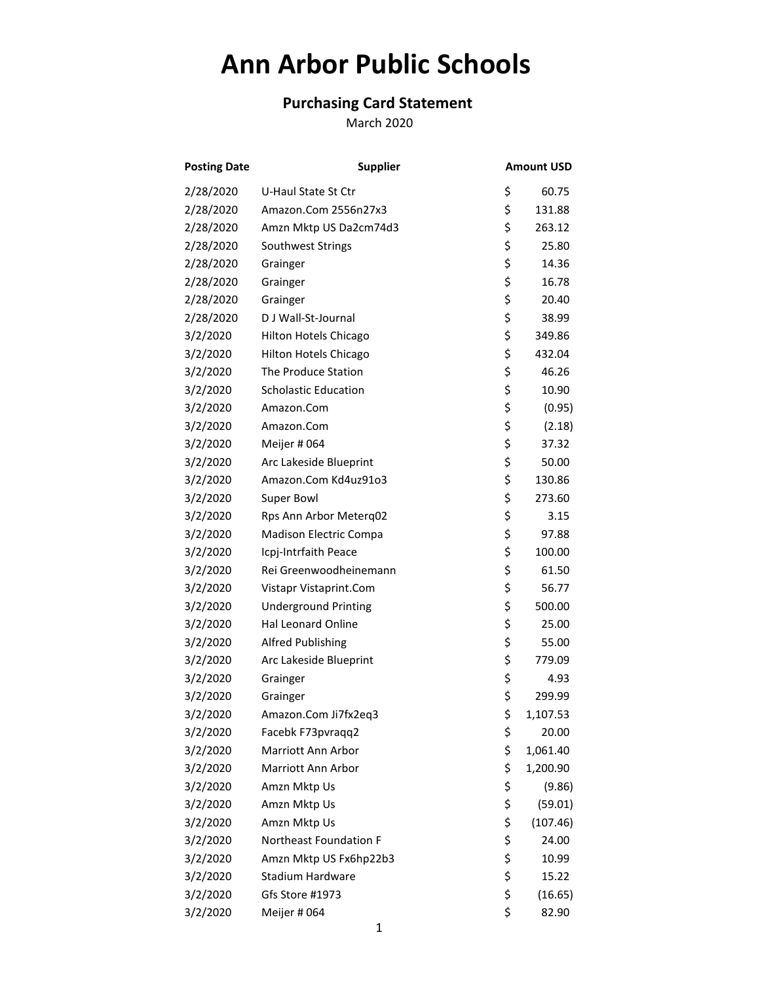## **Ann Arbor Public Schools**

## **Purchasing Card Statement**

March 2020

| <b>Posting Date</b> | <b>Supplier</b>             | <b>Amount USD</b> |  |
|---------------------|-----------------------------|-------------------|--|
| 2/28/2020           | U-Haul State St Ctr         | \$<br>60.75       |  |
| 2/28/2020           | Amazon.Com 2556n27x3        | \$<br>131.88      |  |
| 2/28/2020           | Amzn Mktp US Da2cm74d3      | \$<br>263.12      |  |
| 2/28/2020           | Southwest Strings           | \$<br>25.80       |  |
| 2/28/2020           | Grainger                    | \$<br>14.36       |  |
| 2/28/2020           | Grainger                    | \$<br>16.78       |  |
| 2/28/2020           | Grainger                    | \$<br>20.40       |  |
| 2/28/2020           | D J Wall-St-Journal         | \$<br>38.99       |  |
| 3/2/2020            | Hilton Hotels Chicago       | \$<br>349.86      |  |
| 3/2/2020            | Hilton Hotels Chicago       | \$<br>432.04      |  |
| 3/2/2020            | The Produce Station         | \$<br>46.26       |  |
| 3/2/2020            | <b>Scholastic Education</b> | \$<br>10.90       |  |
| 3/2/2020            | Amazon.Com                  | \$<br>(0.95)      |  |
| 3/2/2020            | Amazon.Com                  | \$<br>(2.18)      |  |
| 3/2/2020            | Meijer # 064                | \$<br>37.32       |  |
| 3/2/2020            | Arc Lakeside Blueprint      | \$<br>50.00       |  |
| 3/2/2020            | Amazon.Com Kd4uz91o3        | \$<br>130.86      |  |
| 3/2/2020            | Super Bowl                  | \$<br>273.60      |  |
| 3/2/2020            | Rps Ann Arbor Meterq02      | \$<br>3.15        |  |
| 3/2/2020            | Madison Electric Compa      | \$<br>97.88       |  |
| 3/2/2020            | Icpj-Intrfaith Peace        | \$<br>100.00      |  |
| 3/2/2020            | Rei Greenwoodheinemann      | \$<br>61.50       |  |
| 3/2/2020            | Vistapr Vistaprint.Com      | \$<br>56.77       |  |
| 3/2/2020            | <b>Underground Printing</b> | \$<br>500.00      |  |
| 3/2/2020            | Hal Leonard Online          | \$<br>25.00       |  |
| 3/2/2020            | <b>Alfred Publishing</b>    | \$<br>55.00       |  |
| 3/2/2020            | Arc Lakeside Blueprint      | \$<br>779.09      |  |
| 3/2/2020            | Grainger                    | \$<br>4.93        |  |
| 3/2/2020            | Grainger                    | \$<br>299.99      |  |
| 3/2/2020            | Amazon.Com Ji7fx2eq3        | \$<br>1,107.53    |  |
| 3/2/2020            | Facebk F73pvraqq2           | \$<br>20.00       |  |
| 3/2/2020            | Marriott Ann Arbor          | \$<br>1,061.40    |  |
| 3/2/2020            | Marriott Ann Arbor          | \$<br>1,200.90    |  |
| 3/2/2020            | Amzn Mktp Us                | \$<br>(9.86)      |  |
| 3/2/2020            | Amzn Mktp Us                | \$<br>(59.01)     |  |
| 3/2/2020            | Amzn Mktp Us                | \$<br>(107.46)    |  |
| 3/2/2020            | Northeast Foundation F      | \$<br>24.00       |  |
| 3/2/2020            | Amzn Mktp US Fx6hp22b3      | \$<br>10.99       |  |
| 3/2/2020            | Stadium Hardware            | \$<br>15.22       |  |
| 3/2/2020            | Gfs Store #1973             | \$<br>(16.65)     |  |
| 3/2/2020            | Meijer # 064                | \$<br>82.90       |  |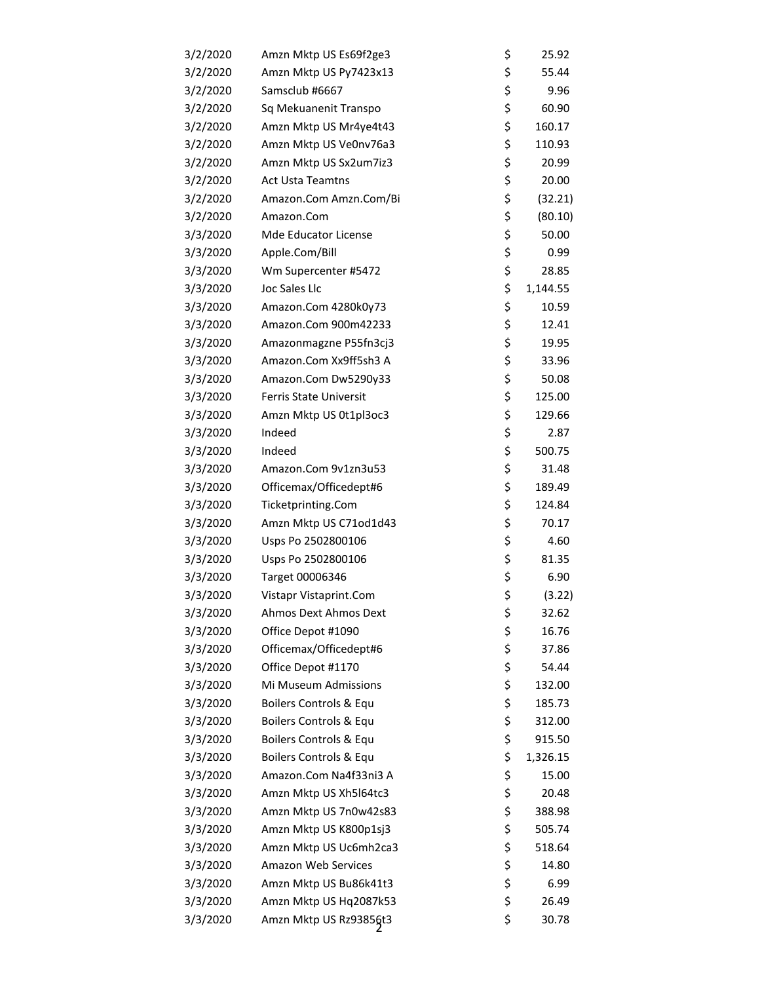| 3/2/2020 | Amzn Mktp US Es69f2ge3  | \$<br>25.92    |
|----------|-------------------------|----------------|
| 3/2/2020 | Amzn Mktp US Py7423x13  | \$<br>55.44    |
| 3/2/2020 | Samsclub #6667          | \$<br>9.96     |
| 3/2/2020 | Sq Mekuanenit Transpo   | \$<br>60.90    |
| 3/2/2020 | Amzn Mktp US Mr4ye4t43  | \$<br>160.17   |
| 3/2/2020 | Amzn Mktp US Ve0nv76a3  | \$<br>110.93   |
| 3/2/2020 | Amzn Mktp US Sx2um7iz3  | \$<br>20.99    |
| 3/2/2020 | <b>Act Usta Teamtns</b> | \$<br>20.00    |
| 3/2/2020 | Amazon.Com Amzn.Com/Bi  | \$<br>(32.21)  |
| 3/2/2020 | Amazon.Com              | \$<br>(80.10)  |
| 3/3/2020 | Mde Educator License    | \$<br>50.00    |
| 3/3/2020 | Apple.Com/Bill          | \$<br>0.99     |
| 3/3/2020 | Wm Supercenter #5472    | \$<br>28.85    |
| 3/3/2020 | Joc Sales Llc           | \$<br>1,144.55 |
| 3/3/2020 | Amazon.Com 4280k0y73    | \$<br>10.59    |
| 3/3/2020 | Amazon.Com 900m42233    | \$<br>12.41    |
| 3/3/2020 | Amazonmagzne P55fn3cj3  | \$<br>19.95    |
| 3/3/2020 | Amazon.Com Xx9ff5sh3 A  | \$<br>33.96    |
| 3/3/2020 | Amazon.Com Dw5290y33    | \$<br>50.08    |
| 3/3/2020 | Ferris State Universit  | \$<br>125.00   |
| 3/3/2020 | Amzn Mktp US 0t1pl3oc3  | \$<br>129.66   |
| 3/3/2020 | Indeed                  | \$<br>2.87     |
| 3/3/2020 | Indeed                  | \$<br>500.75   |
| 3/3/2020 | Amazon.Com 9v1zn3u53    | \$<br>31.48    |
| 3/3/2020 | Officemax/Officedept#6  | \$<br>189.49   |
| 3/3/2020 | Ticketprinting.Com      | \$<br>124.84   |
| 3/3/2020 | Amzn Mktp US C71od1d43  | \$<br>70.17    |
| 3/3/2020 | Usps Po 2502800106      | \$<br>4.60     |
| 3/3/2020 | Usps Po 2502800106      | \$<br>81.35    |
| 3/3/2020 | Target 00006346         | \$<br>6.90     |
| 3/3/2020 | Vistapr Vistaprint.Com  | \$<br>(3.22)   |
| 3/3/2020 | Ahmos Dext Ahmos Dext   | \$<br>32.62    |
| 3/3/2020 | Office Depot #1090      | \$<br>16.76    |
| 3/3/2020 | Officemax/Officedept#6  | \$<br>37.86    |
| 3/3/2020 | Office Depot #1170      | \$<br>54.44    |
| 3/3/2020 | Mi Museum Admissions    | \$<br>132.00   |
| 3/3/2020 | Boilers Controls & Equ  | \$<br>185.73   |
| 3/3/2020 | Boilers Controls & Equ  | \$<br>312.00   |
| 3/3/2020 | Boilers Controls & Equ  | \$<br>915.50   |
| 3/3/2020 | Boilers Controls & Equ  | \$<br>1,326.15 |
| 3/3/2020 | Amazon.Com Na4f33ni3 A  | \$<br>15.00    |
| 3/3/2020 | Amzn Mktp US Xh5I64tc3  | \$<br>20.48    |
| 3/3/2020 | Amzn Mktp US 7n0w42s83  | \$<br>388.98   |
| 3/3/2020 | Amzn Mktp US K800p1sj3  | \$<br>505.74   |
| 3/3/2020 | Amzn Mktp US Uc6mh2ca3  | \$<br>518.64   |
| 3/3/2020 | Amazon Web Services     | \$<br>14.80    |
| 3/3/2020 | Amzn Mktp US Bu86k41t3  | \$<br>6.99     |
| 3/3/2020 | Amzn Mktp US Hq2087k53  | \$<br>26.49    |
| 3/3/2020 | Amzn Mktp US Rz93856t3  | \$<br>30.78    |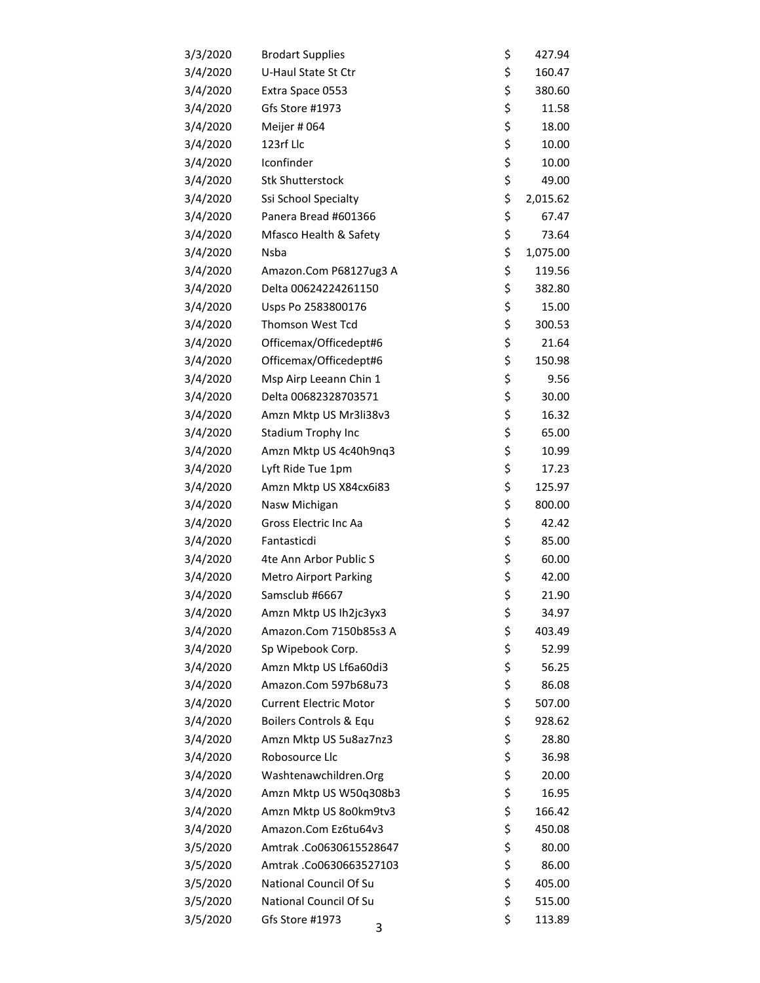| <b>Brodart Supplies</b>       | \$                                                                                                                          | 427.94                                                                                                                                       |
|-------------------------------|-----------------------------------------------------------------------------------------------------------------------------|----------------------------------------------------------------------------------------------------------------------------------------------|
| U-Haul State St Ctr           | \$                                                                                                                          | 160.47                                                                                                                                       |
| Extra Space 0553              | \$                                                                                                                          | 380.60                                                                                                                                       |
| Gfs Store #1973               | \$                                                                                                                          | 11.58                                                                                                                                        |
| Meijer # 064                  | \$                                                                                                                          | 18.00                                                                                                                                        |
| 123rf Llc                     | \$                                                                                                                          | 10.00                                                                                                                                        |
| Iconfinder                    | \$                                                                                                                          | 10.00                                                                                                                                        |
| <b>Stk Shutterstock</b>       | \$                                                                                                                          | 49.00                                                                                                                                        |
| Ssi School Specialty          | \$                                                                                                                          | 2,015.62                                                                                                                                     |
| Panera Bread #601366          | \$                                                                                                                          | 67.47                                                                                                                                        |
| Mfasco Health & Safety        | \$                                                                                                                          | 73.64                                                                                                                                        |
| Nsba                          | \$                                                                                                                          | 1,075.00                                                                                                                                     |
| Amazon.Com P68127ug3 A        | \$                                                                                                                          | 119.56                                                                                                                                       |
| Delta 00624224261150          | \$                                                                                                                          | 382.80                                                                                                                                       |
| Usps Po 2583800176            | \$                                                                                                                          | 15.00                                                                                                                                        |
| <b>Thomson West Tcd</b>       | \$                                                                                                                          | 300.53                                                                                                                                       |
| Officemax/Officedept#6        | \$                                                                                                                          | 21.64                                                                                                                                        |
| Officemax/Officedept#6        | \$                                                                                                                          | 150.98                                                                                                                                       |
| Msp Airp Leeann Chin 1        | \$                                                                                                                          | 9.56                                                                                                                                         |
| Delta 00682328703571          | \$                                                                                                                          | 30.00                                                                                                                                        |
| Amzn Mktp US Mr3li38v3        | \$                                                                                                                          | 16.32                                                                                                                                        |
| Stadium Trophy Inc            | \$                                                                                                                          | 65.00                                                                                                                                        |
| Amzn Mktp US 4c40h9nq3        |                                                                                                                             | 10.99                                                                                                                                        |
| Lyft Ride Tue 1pm             | \$                                                                                                                          | 17.23                                                                                                                                        |
| Amzn Mktp US X84cx6i83        | \$                                                                                                                          | 125.97                                                                                                                                       |
| Nasw Michigan                 |                                                                                                                             | 800.00                                                                                                                                       |
| Gross Electric Inc Aa         |                                                                                                                             | 42.42                                                                                                                                        |
| Fantasticdi                   |                                                                                                                             | 85.00                                                                                                                                        |
| 4te Ann Arbor Public S        |                                                                                                                             | 60.00                                                                                                                                        |
| <b>Metro Airport Parking</b>  |                                                                                                                             | 42.00                                                                                                                                        |
| Samsclub #6667                |                                                                                                                             | 21.90                                                                                                                                        |
| Amzn Mktp US Ih2jc3yx3        | \$                                                                                                                          | 34.97                                                                                                                                        |
| Amazon.Com 7150b85s3 A        |                                                                                                                             | 403.49                                                                                                                                       |
| Sp Wipebook Corp.             |                                                                                                                             | 52.99                                                                                                                                        |
| Amzn Mktp US Lf6a60di3        |                                                                                                                             | 56.25                                                                                                                                        |
|                               |                                                                                                                             | 86.08                                                                                                                                        |
| <b>Current Electric Motor</b> |                                                                                                                             | 507.00                                                                                                                                       |
| Boilers Controls & Equ        |                                                                                                                             | 928.62                                                                                                                                       |
| Amzn Mktp US 5u8az7nz3        |                                                                                                                             | 28.80                                                                                                                                        |
| Robosource Llc                |                                                                                                                             | 36.98                                                                                                                                        |
|                               |                                                                                                                             | 20.00                                                                                                                                        |
|                               |                                                                                                                             | 16.95                                                                                                                                        |
|                               |                                                                                                                             | 166.42                                                                                                                                       |
| Amazon.Com Ez6tu64v3          |                                                                                                                             | 450.08                                                                                                                                       |
|                               |                                                                                                                             | 80.00                                                                                                                                        |
| Amtrak.Co0630663527103        |                                                                                                                             | 86.00                                                                                                                                        |
| National Council Of Su        |                                                                                                                             | 405.00                                                                                                                                       |
| National Council Of Su        |                                                                                                                             | 515.00                                                                                                                                       |
| Gfs Store #1973<br>3          |                                                                                                                             | 113.89                                                                                                                                       |
|                               | Amazon.Com 597b68u73<br>Washtenawchildren.Org<br>Amzn Mktp US W50q308b3<br>Amzn Mktp US 800km9tv3<br>Amtrak.Co0630615528647 | \$<br>\$<br>\$<br>\$<br>\$<br>\$<br>\$<br>\$<br>\$<br>\$<br>\$<br>\$<br>\$<br>\$<br>\$<br>\$<br>\$<br>\$<br>\$<br>\$<br>\$<br>\$<br>\$<br>\$ |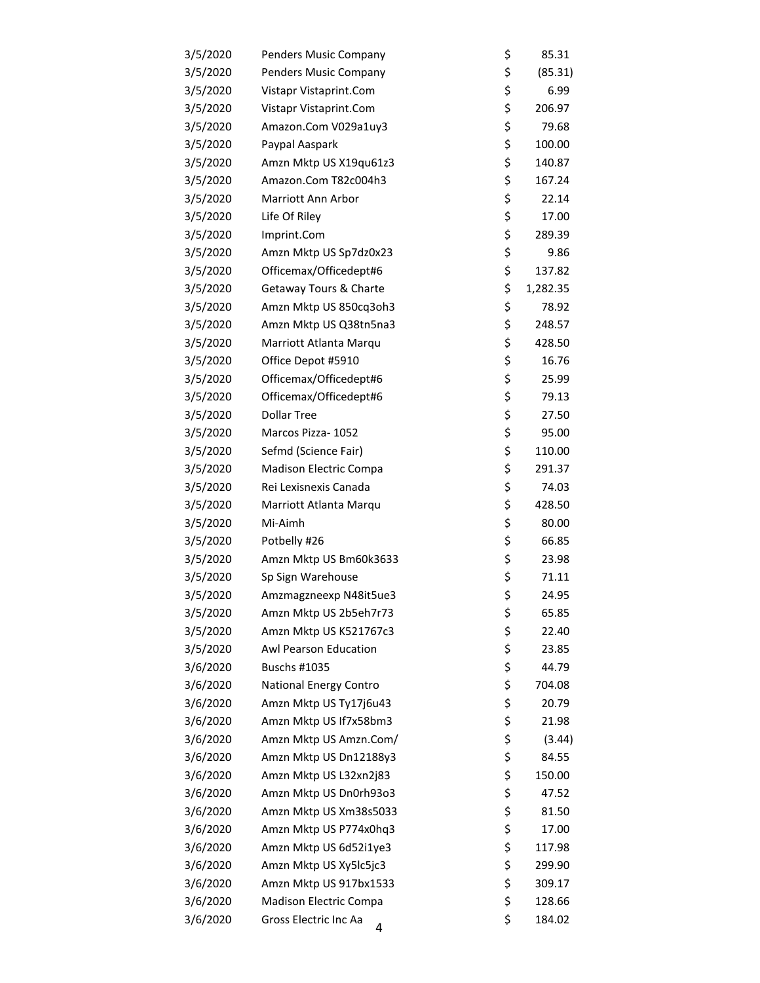| 3/5/2020 | Penders Music Company      | \$<br>85.31    |
|----------|----------------------------|----------------|
| 3/5/2020 | Penders Music Company      | \$<br>(85.31)  |
| 3/5/2020 | Vistapr Vistaprint.Com     | \$<br>6.99     |
| 3/5/2020 | Vistapr Vistaprint.Com     | \$<br>206.97   |
| 3/5/2020 | Amazon.Com V029a1uy3       | \$<br>79.68    |
| 3/5/2020 | Paypal Aaspark             | \$<br>100.00   |
| 3/5/2020 | Amzn Mktp US X19qu61z3     | \$<br>140.87   |
| 3/5/2020 | Amazon.Com T82c004h3       | \$<br>167.24   |
| 3/5/2020 | Marriott Ann Arbor         | \$<br>22.14    |
| 3/5/2020 | Life Of Riley              | \$<br>17.00    |
| 3/5/2020 | Imprint.Com                | \$<br>289.39   |
| 3/5/2020 | Amzn Mktp US Sp7dz0x23     | \$<br>9.86     |
| 3/5/2020 | Officemax/Officedept#6     | \$<br>137.82   |
| 3/5/2020 | Getaway Tours & Charte     | \$<br>1,282.35 |
| 3/5/2020 | Amzn Mktp US 850cq3oh3     | \$<br>78.92    |
| 3/5/2020 | Amzn Mktp US Q38tn5na3     | \$<br>248.57   |
| 3/5/2020 | Marriott Atlanta Marqu     | \$<br>428.50   |
| 3/5/2020 | Office Depot #5910         | \$<br>16.76    |
| 3/5/2020 | Officemax/Officedept#6     | \$<br>25.99    |
| 3/5/2020 | Officemax/Officedept#6     | \$<br>79.13    |
| 3/5/2020 | <b>Dollar Tree</b>         | \$<br>27.50    |
| 3/5/2020 | Marcos Pizza-1052          | \$<br>95.00    |
| 3/5/2020 | Sefmd (Science Fair)       | \$<br>110.00   |
| 3/5/2020 | Madison Electric Compa     | \$<br>291.37   |
| 3/5/2020 | Rei Lexisnexis Canada      | \$<br>74.03    |
| 3/5/2020 | Marriott Atlanta Marqu     | \$<br>428.50   |
| 3/5/2020 | Mi-Aimh                    | \$<br>80.00    |
| 3/5/2020 | Potbelly #26               | \$<br>66.85    |
| 3/5/2020 | Amzn Mktp US Bm60k3633     | \$<br>23.98    |
| 3/5/2020 | Sp Sign Warehouse          | \$<br>71.11    |
| 3/5/2020 | Amzmagzneexp N48it5ue3     | \$<br>24.95    |
| 3/5/2020 | Amzn Mktp US 2b5eh7r73     | \$<br>65.85    |
| 3/5/2020 | Amzn Mktp US K521767c3     | \$<br>22.40    |
| 3/5/2020 | Awl Pearson Education      | \$<br>23.85    |
| 3/6/2020 | Buschs #1035               | \$<br>44.79    |
| 3/6/2020 | National Energy Contro     | \$<br>704.08   |
| 3/6/2020 | Amzn Mktp US Ty17j6u43     | \$<br>20.79    |
| 3/6/2020 | Amzn Mktp US If7x58bm3     | \$<br>21.98    |
| 3/6/2020 | Amzn Mktp US Amzn.Com/     | \$<br>(3.44)   |
| 3/6/2020 | Amzn Mktp US Dn12188y3     | \$<br>84.55    |
| 3/6/2020 | Amzn Mktp US L32xn2j83     | \$<br>150.00   |
| 3/6/2020 | Amzn Mktp US Dn0rh93o3     | \$<br>47.52    |
| 3/6/2020 | Amzn Mktp US Xm38s5033     | \$<br>81.50    |
| 3/6/2020 | Amzn Mktp US P774x0hq3     | \$<br>17.00    |
| 3/6/2020 | Amzn Mktp US 6d52i1ye3     | \$<br>117.98   |
| 3/6/2020 | Amzn Mktp US Xy5lc5jc3     | \$<br>299.90   |
| 3/6/2020 | Amzn Mktp US 917bx1533     | \$<br>309.17   |
| 3/6/2020 | Madison Electric Compa     | \$<br>128.66   |
| 3/6/2020 | Gross Electric Inc Aa<br>4 | \$<br>184.02   |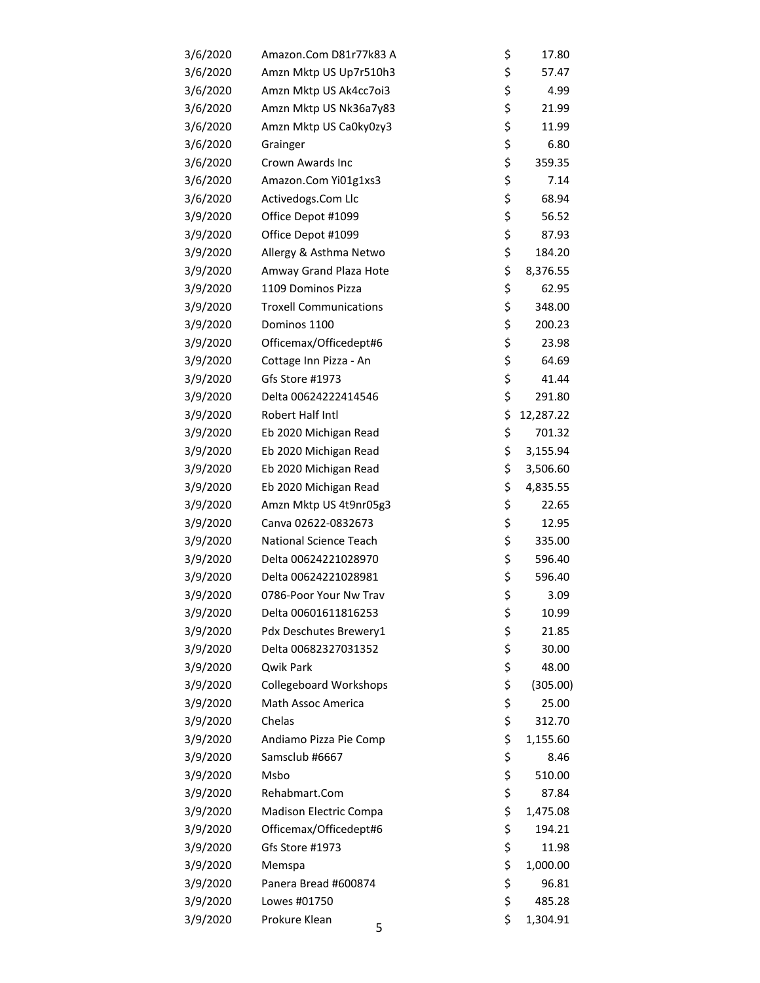| 3/6/2020 | Amazon.Com D81r77k83 A        | \$<br>17.80     |
|----------|-------------------------------|-----------------|
| 3/6/2020 | Amzn Mktp US Up7r510h3        | \$<br>57.47     |
| 3/6/2020 | Amzn Mktp US Ak4cc7oi3        | \$<br>4.99      |
| 3/6/2020 | Amzn Mktp US Nk36a7y83        | \$<br>21.99     |
| 3/6/2020 | Amzn Mktp US Ca0ky0zy3        | \$<br>11.99     |
| 3/6/2020 | Grainger                      | \$<br>6.80      |
| 3/6/2020 | Crown Awards Inc              | \$<br>359.35    |
| 3/6/2020 | Amazon.Com Yi01g1xs3          | \$<br>7.14      |
| 3/6/2020 | Activedogs.Com Llc            | \$<br>68.94     |
| 3/9/2020 | Office Depot #1099            | \$<br>56.52     |
| 3/9/2020 | Office Depot #1099            | \$<br>87.93     |
| 3/9/2020 | Allergy & Asthma Netwo        | \$<br>184.20    |
| 3/9/2020 | Amway Grand Plaza Hote        | \$<br>8,376.55  |
| 3/9/2020 | 1109 Dominos Pizza            | \$<br>62.95     |
| 3/9/2020 | <b>Troxell Communications</b> | \$<br>348.00    |
| 3/9/2020 | Dominos 1100                  | \$<br>200.23    |
| 3/9/2020 | Officemax/Officedept#6        | \$<br>23.98     |
| 3/9/2020 | Cottage Inn Pizza - An        | \$<br>64.69     |
| 3/9/2020 | Gfs Store #1973               | \$<br>41.44     |
| 3/9/2020 | Delta 00624222414546          | \$<br>291.80    |
| 3/9/2020 | Robert Half Intl              | \$<br>12,287.22 |
| 3/9/2020 | Eb 2020 Michigan Read         | \$<br>701.32    |
| 3/9/2020 | Eb 2020 Michigan Read         | \$<br>3,155.94  |
| 3/9/2020 | Eb 2020 Michigan Read         | \$<br>3,506.60  |
| 3/9/2020 | Eb 2020 Michigan Read         | \$<br>4,835.55  |
| 3/9/2020 | Amzn Mktp US 4t9nr05g3        | \$<br>22.65     |
| 3/9/2020 | Canva 02622-0832673           | \$<br>12.95     |
| 3/9/2020 | National Science Teach        | \$<br>335.00    |
| 3/9/2020 | Delta 00624221028970          | \$<br>596.40    |
| 3/9/2020 | Delta 00624221028981          | \$<br>596.40    |
| 3/9/2020 | 0786-Poor Your Nw Trav        | \$<br>3.09      |
| 3/9/2020 | Delta 00601611816253          | \$<br>10.99     |
| 3/9/2020 | Pdx Deschutes Brewery1        | \$<br>21.85     |
| 3/9/2020 | Delta 00682327031352          | \$<br>30.00     |
| 3/9/2020 | Qwik Park                     | \$<br>48.00     |
| 3/9/2020 | <b>Collegeboard Workshops</b> | \$<br>(305.00)  |
| 3/9/2020 | <b>Math Assoc America</b>     | \$<br>25.00     |
| 3/9/2020 | Chelas                        | \$<br>312.70    |
| 3/9/2020 | Andiamo Pizza Pie Comp        | \$<br>1,155.60  |
| 3/9/2020 | Samsclub #6667                | \$<br>8.46      |
| 3/9/2020 | Msbo                          | \$<br>510.00    |
| 3/9/2020 | Rehabmart.Com                 | \$<br>87.84     |
| 3/9/2020 | Madison Electric Compa        | \$<br>1,475.08  |
| 3/9/2020 | Officemax/Officedept#6        | \$<br>194.21    |
| 3/9/2020 | Gfs Store #1973               | \$<br>11.98     |
| 3/9/2020 | Memspa                        | \$<br>1,000.00  |
| 3/9/2020 | Panera Bread #600874          | \$<br>96.81     |
| 3/9/2020 | Lowes #01750                  | \$<br>485.28    |
| 3/9/2020 | Prokure Klean<br>5            | \$<br>1,304.91  |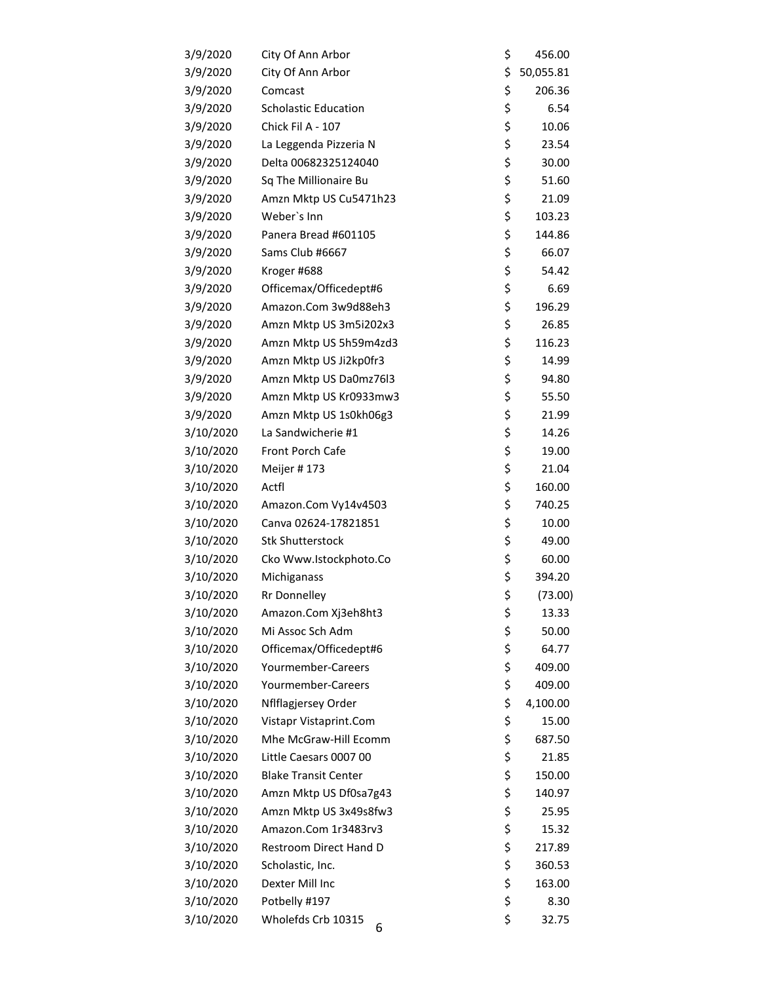| 3/9/2020  | City Of Ann Arbor           | \$<br>456.00    |
|-----------|-----------------------------|-----------------|
| 3/9/2020  | City Of Ann Arbor           | \$<br>50,055.81 |
| 3/9/2020  | Comcast                     | \$<br>206.36    |
| 3/9/2020  | <b>Scholastic Education</b> | \$<br>6.54      |
| 3/9/2020  | Chick Fil A - 107           | \$<br>10.06     |
| 3/9/2020  | La Leggenda Pizzeria N      | \$<br>23.54     |
| 3/9/2020  | Delta 00682325124040        | \$<br>30.00     |
| 3/9/2020  | Sq The Millionaire Bu       | \$<br>51.60     |
| 3/9/2020  | Amzn Mktp US Cu5471h23      | \$<br>21.09     |
| 3/9/2020  | Weber's Inn                 | \$<br>103.23    |
| 3/9/2020  | Panera Bread #601105        | \$<br>144.86    |
| 3/9/2020  | Sams Club #6667             | \$<br>66.07     |
| 3/9/2020  | Kroger #688                 | \$<br>54.42     |
| 3/9/2020  | Officemax/Officedept#6      | \$<br>6.69      |
| 3/9/2020  | Amazon.Com 3w9d88eh3        | \$<br>196.29    |
| 3/9/2020  | Amzn Mktp US 3m5i202x3      | \$<br>26.85     |
| 3/9/2020  | Amzn Mktp US 5h59m4zd3      | \$<br>116.23    |
| 3/9/2020  | Amzn Mktp US Ji2kp0fr3      | \$<br>14.99     |
| 3/9/2020  | Amzn Mktp US Da0mz76l3      | \$<br>94.80     |
| 3/9/2020  | Amzn Mktp US Kr0933mw3      | \$<br>55.50     |
| 3/9/2020  | Amzn Mktp US 1s0kh06g3      | \$<br>21.99     |
| 3/10/2020 | La Sandwicherie #1          | \$<br>14.26     |
| 3/10/2020 | Front Porch Cafe            | \$<br>19.00     |
| 3/10/2020 | Meijer #173                 | \$<br>21.04     |
| 3/10/2020 | Actfl                       | \$<br>160.00    |
| 3/10/2020 | Amazon.Com Vy14v4503        | \$<br>740.25    |
| 3/10/2020 | Canva 02624-17821851        | \$<br>10.00     |
| 3/10/2020 | <b>Stk Shutterstock</b>     | \$<br>49.00     |
| 3/10/2020 | Cko Www.Istockphoto.Co      | \$<br>60.00     |
| 3/10/2020 | Michiganass                 | \$<br>394.20    |
| 3/10/2020 | <b>Rr Donnelley</b>         | \$<br>(73.00)   |
| 3/10/2020 | Amazon.Com Xj3eh8ht3        | \$<br>13.33     |
| 3/10/2020 | Mi Assoc Sch Adm            | \$<br>50.00     |
| 3/10/2020 | Officemax/Officedept#6      | \$<br>64.77     |
| 3/10/2020 | Yourmember-Careers          | \$<br>409.00    |
| 3/10/2020 | Yourmember-Careers          | \$<br>409.00    |
| 3/10/2020 | Nflflagjersey Order         | \$<br>4,100.00  |
| 3/10/2020 | Vistapr Vistaprint.Com      | \$<br>15.00     |
| 3/10/2020 | Mhe McGraw-Hill Ecomm       | \$<br>687.50    |
| 3/10/2020 | Little Caesars 0007 00      | \$<br>21.85     |
| 3/10/2020 | <b>Blake Transit Center</b> | \$<br>150.00    |
| 3/10/2020 | Amzn Mktp US Df0sa7g43      | \$<br>140.97    |
| 3/10/2020 | Amzn Mktp US 3x49s8fw3      | \$<br>25.95     |
| 3/10/2020 | Amazon.Com 1r3483rv3        | \$<br>15.32     |
| 3/10/2020 | Restroom Direct Hand D      | \$<br>217.89    |
| 3/10/2020 | Scholastic, Inc.            | \$<br>360.53    |
| 3/10/2020 | Dexter Mill Inc             | \$<br>163.00    |
| 3/10/2020 | Potbelly #197               | \$<br>8.30      |
| 3/10/2020 | Wholefds Crb 10315<br>6     | \$<br>32.75     |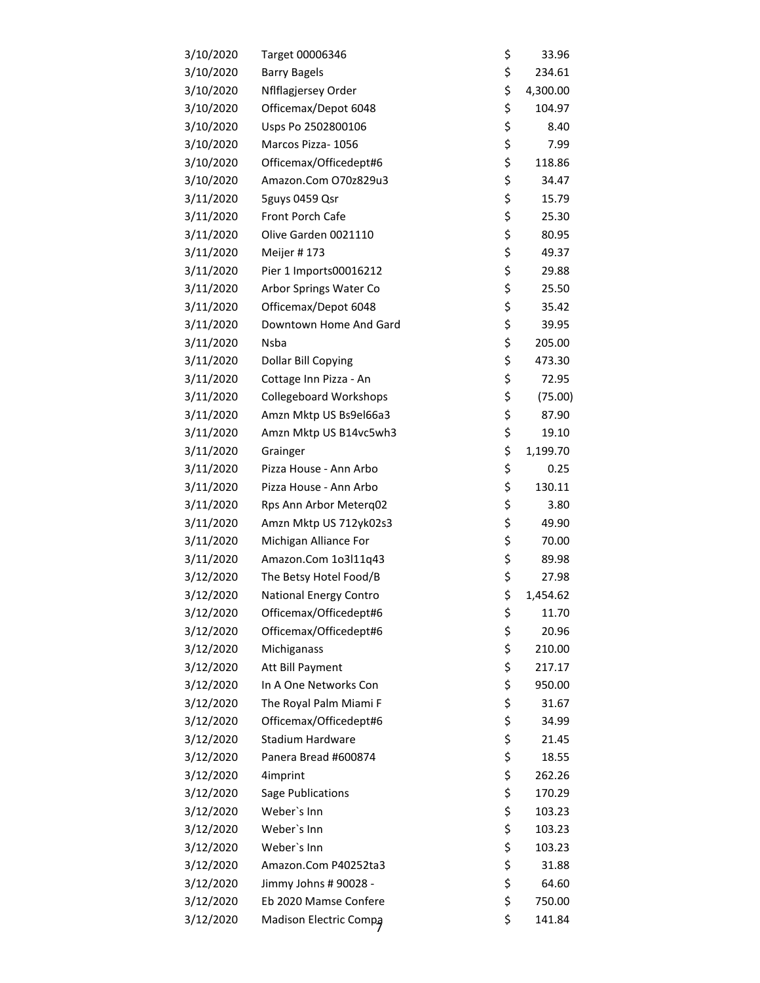| 3/10/2020 | Target 00006346               | \$<br>33.96    |
|-----------|-------------------------------|----------------|
| 3/10/2020 | <b>Barry Bagels</b>           | \$<br>234.61   |
| 3/10/2020 | Nflflagjersey Order           | \$<br>4,300.00 |
| 3/10/2020 | Officemax/Depot 6048          | \$<br>104.97   |
| 3/10/2020 | Usps Po 2502800106            | \$<br>8.40     |
| 3/10/2020 | Marcos Pizza- 1056            | \$<br>7.99     |
| 3/10/2020 | Officemax/Officedept#6        | \$<br>118.86   |
| 3/10/2020 | Amazon.Com O70z829u3          | \$<br>34.47    |
| 3/11/2020 | 5guys 0459 Qsr                | \$<br>15.79    |
| 3/11/2020 | Front Porch Cafe              | \$<br>25.30    |
| 3/11/2020 | Olive Garden 0021110          | \$<br>80.95    |
| 3/11/2020 | Meijer #173                   | \$<br>49.37    |
| 3/11/2020 | Pier 1 Imports00016212        | \$<br>29.88    |
| 3/11/2020 | Arbor Springs Water Co        | \$<br>25.50    |
| 3/11/2020 | Officemax/Depot 6048          | \$<br>35.42    |
| 3/11/2020 | Downtown Home And Gard        | \$<br>39.95    |
| 3/11/2020 | Nsba                          | \$<br>205.00   |
| 3/11/2020 | Dollar Bill Copying           | \$<br>473.30   |
| 3/11/2020 | Cottage Inn Pizza - An        | \$<br>72.95    |
| 3/11/2020 | <b>Collegeboard Workshops</b> | \$<br>(75.00)  |
| 3/11/2020 | Amzn Mktp US Bs9el66a3        | \$<br>87.90    |
| 3/11/2020 | Amzn Mktp US B14vc5wh3        | \$<br>19.10    |
| 3/11/2020 | Grainger                      | \$<br>1,199.70 |
| 3/11/2020 | Pizza House - Ann Arbo        | \$<br>0.25     |
| 3/11/2020 | Pizza House - Ann Arbo        | \$<br>130.11   |
| 3/11/2020 | Rps Ann Arbor Meterq02        | \$<br>3.80     |
| 3/11/2020 | Amzn Mktp US 712yk02s3        | \$<br>49.90    |
| 3/11/2020 | Michigan Alliance For         | \$<br>70.00    |
| 3/11/2020 | Amazon.Com 1o3l11q43          | \$<br>89.98    |
| 3/12/2020 | The Betsy Hotel Food/B        | \$<br>27.98    |
| 3/12/2020 | National Energy Contro        | \$<br>1,454.62 |
| 3/12/2020 | Officemax/Officedept#6        | \$<br>11.70    |
| 3/12/2020 | Officemax/Officedept#6        | \$<br>20.96    |
| 3/12/2020 | Michiganass                   | \$<br>210.00   |
| 3/12/2020 | Att Bill Payment              | \$<br>217.17   |
| 3/12/2020 | In A One Networks Con         | \$<br>950.00   |
| 3/12/2020 | The Royal Palm Miami F        | \$<br>31.67    |
| 3/12/2020 | Officemax/Officedept#6        | \$<br>34.99    |
| 3/12/2020 | Stadium Hardware              | \$<br>21.45    |
| 3/12/2020 | Panera Bread #600874          | \$<br>18.55    |
| 3/12/2020 | 4imprint                      | \$<br>262.26   |
| 3/12/2020 | Sage Publications             | \$<br>170.29   |
| 3/12/2020 | Weber's Inn                   | \$<br>103.23   |
| 3/12/2020 | Weber's Inn                   | \$<br>103.23   |
| 3/12/2020 | Weber's Inn                   | \$<br>103.23   |
| 3/12/2020 | Amazon.Com P40252ta3          | \$<br>31.88    |
| 3/12/2020 | Jimmy Johns # 90028 -         | \$<br>64.60    |
| 3/12/2020 | Eb 2020 Mamse Confere         | \$<br>750.00   |
| 3/12/2020 | Madison Electric Compa        | \$<br>141.84   |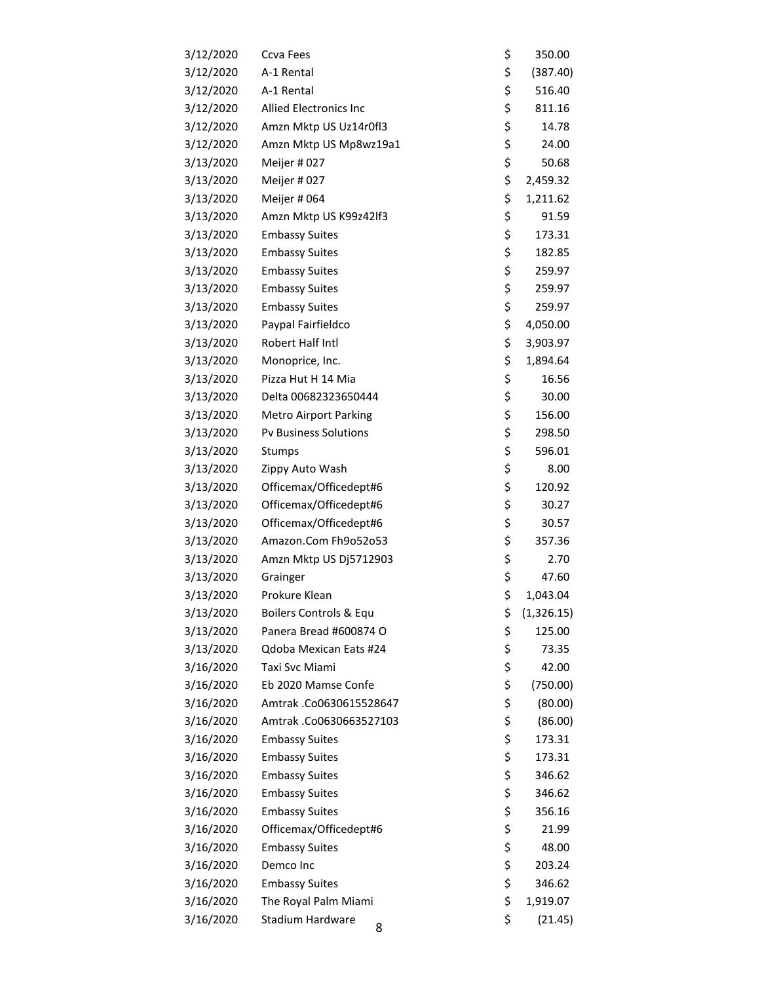| 3/12/2020 | Ccva Fees                    | \$<br>350.00     |
|-----------|------------------------------|------------------|
| 3/12/2020 | A-1 Rental                   | \$<br>(387.40)   |
| 3/12/2020 | A-1 Rental                   | \$<br>516.40     |
| 3/12/2020 | Allied Electronics Inc       | \$<br>811.16     |
| 3/12/2020 | Amzn Mktp US Uz14r0fl3       | \$<br>14.78      |
| 3/12/2020 | Amzn Mktp US Mp8wz19a1       | \$<br>24.00      |
| 3/13/2020 | Meijer #027                  | \$<br>50.68      |
| 3/13/2020 | Meijer #027                  | \$<br>2,459.32   |
| 3/13/2020 | Meijer # 064                 | \$<br>1,211.62   |
| 3/13/2020 | Amzn Mktp US K99z42lf3       | \$<br>91.59      |
| 3/13/2020 | <b>Embassy Suites</b>        | \$<br>173.31     |
| 3/13/2020 | <b>Embassy Suites</b>        | \$<br>182.85     |
| 3/13/2020 | <b>Embassy Suites</b>        | \$<br>259.97     |
| 3/13/2020 | <b>Embassy Suites</b>        | \$<br>259.97     |
| 3/13/2020 | <b>Embassy Suites</b>        | \$<br>259.97     |
| 3/13/2020 | Paypal Fairfieldco           | \$<br>4,050.00   |
| 3/13/2020 | Robert Half Intl             | \$<br>3,903.97   |
| 3/13/2020 | Monoprice, Inc.              | \$<br>1,894.64   |
| 3/13/2020 | Pizza Hut H 14 Mia           | \$<br>16.56      |
| 3/13/2020 | Delta 00682323650444         | \$<br>30.00      |
| 3/13/2020 | <b>Metro Airport Parking</b> | \$<br>156.00     |
| 3/13/2020 | <b>Pv Business Solutions</b> | \$<br>298.50     |
| 3/13/2020 | Stumps                       | \$<br>596.01     |
| 3/13/2020 | Zippy Auto Wash              | \$<br>8.00       |
| 3/13/2020 | Officemax/Officedept#6       | \$<br>120.92     |
| 3/13/2020 | Officemax/Officedept#6       | \$<br>30.27      |
| 3/13/2020 | Officemax/Officedept#6       | \$<br>30.57      |
| 3/13/2020 | Amazon.Com Fh9o52o53         | \$<br>357.36     |
| 3/13/2020 | Amzn Mktp US Dj5712903       | \$<br>2.70       |
| 3/13/2020 | Grainger                     | \$<br>47.60      |
| 3/13/2020 | Prokure Klean                | \$<br>1,043.04   |
| 3/13/2020 | Boilers Controls & Equ       | \$<br>(1,326.15) |
| 3/13/2020 | Panera Bread #600874 O       | \$<br>125.00     |
| 3/13/2020 | Qdoba Mexican Eats #24       | \$<br>73.35      |
| 3/16/2020 | Taxi Svc Miami               | \$<br>42.00      |
| 3/16/2020 | Eb 2020 Mamse Confe          | \$<br>(750.00)   |
| 3/16/2020 | Amtrak .Co0630615528647      | \$<br>(80.00)    |
| 3/16/2020 | Amtrak .Co0630663527103      | \$<br>(86.00)    |
| 3/16/2020 | <b>Embassy Suites</b>        | \$<br>173.31     |
| 3/16/2020 | <b>Embassy Suites</b>        | \$<br>173.31     |
| 3/16/2020 | <b>Embassy Suites</b>        | \$<br>346.62     |
| 3/16/2020 | <b>Embassy Suites</b>        | \$<br>346.62     |
| 3/16/2020 | <b>Embassy Suites</b>        | \$<br>356.16     |
| 3/16/2020 | Officemax/Officedept#6       | \$<br>21.99      |
| 3/16/2020 | <b>Embassy Suites</b>        | \$<br>48.00      |
| 3/16/2020 | Demco Inc                    | \$<br>203.24     |
| 3/16/2020 | <b>Embassy Suites</b>        | \$<br>346.62     |
| 3/16/2020 | The Royal Palm Miami         | \$<br>1,919.07   |
| 3/16/2020 | Stadium Hardware<br>8        | \$<br>(21.45)    |
|           |                              |                  |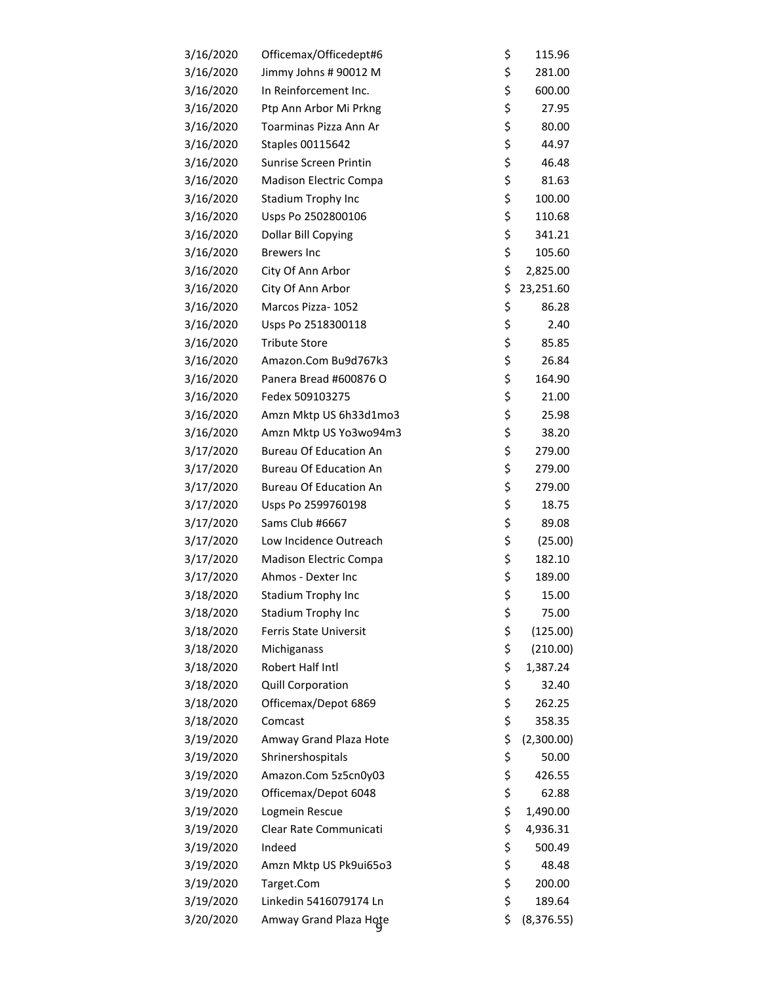| 3/16/2020 | Officemax/Officedept#6        | \$<br>115.96      |
|-----------|-------------------------------|-------------------|
| 3/16/2020 | Jimmy Johns # 90012 M         | \$<br>281.00      |
| 3/16/2020 | In Reinforcement Inc.         | \$<br>600.00      |
| 3/16/2020 | Ptp Ann Arbor Mi Prkng        | \$<br>27.95       |
| 3/16/2020 | Toarminas Pizza Ann Ar        | \$<br>80.00       |
| 3/16/2020 | Staples 00115642              | \$<br>44.97       |
| 3/16/2020 | Sunrise Screen Printin        | \$<br>46.48       |
| 3/16/2020 | Madison Electric Compa        | \$<br>81.63       |
| 3/16/2020 | Stadium Trophy Inc            | \$<br>100.00      |
| 3/16/2020 | Usps Po 2502800106            | \$<br>110.68      |
| 3/16/2020 | Dollar Bill Copying           | \$<br>341.21      |
| 3/16/2020 | <b>Brewers Inc</b>            | \$<br>105.60      |
| 3/16/2020 | City Of Ann Arbor             | \$<br>2,825.00    |
| 3/16/2020 | City Of Ann Arbor             | \$<br>23,251.60   |
| 3/16/2020 | Marcos Pizza- 1052            | \$<br>86.28       |
| 3/16/2020 | Usps Po 2518300118            | \$<br>2.40        |
| 3/16/2020 | <b>Tribute Store</b>          | \$<br>85.85       |
| 3/16/2020 | Amazon.Com Bu9d767k3          | \$<br>26.84       |
| 3/16/2020 | Panera Bread #600876 O        | \$<br>164.90      |
| 3/16/2020 | Fedex 509103275               | \$<br>21.00       |
| 3/16/2020 | Amzn Mktp US 6h33d1mo3        | \$<br>25.98       |
| 3/16/2020 | Amzn Mktp US Yo3wo94m3        | \$<br>38.20       |
| 3/17/2020 | <b>Bureau Of Education An</b> | \$<br>279.00      |
| 3/17/2020 | <b>Bureau Of Education An</b> | \$<br>279.00      |
| 3/17/2020 | <b>Bureau Of Education An</b> | \$<br>279.00      |
| 3/17/2020 | Usps Po 2599760198            | \$<br>18.75       |
| 3/17/2020 | Sams Club #6667               | \$<br>89.08       |
| 3/17/2020 | Low Incidence Outreach        | \$<br>(25.00)     |
| 3/17/2020 | Madison Electric Compa        | \$<br>182.10      |
| 3/17/2020 | Ahmos - Dexter Inc            | \$<br>189.00      |
| 3/18/2020 | Stadium Trophy Inc            | \$<br>15.00       |
| 3/18/2020 | Stadium Trophy Inc            | \$<br>75.00       |
| 3/18/2020 | Ferris State Universit        | \$<br>(125.00)    |
| 3/18/2020 | Michiganass                   | \$<br>(210.00)    |
| 3/18/2020 | Robert Half Intl              | \$<br>1,387.24    |
| 3/18/2020 | Quill Corporation             | \$<br>32.40       |
| 3/18/2020 | Officemax/Depot 6869          | \$<br>262.25      |
| 3/18/2020 | Comcast                       | \$<br>358.35      |
| 3/19/2020 | Amway Grand Plaza Hote        | \$<br>(2,300.00)  |
| 3/19/2020 | Shrinershospitals             | \$<br>50.00       |
| 3/19/2020 | Amazon.Com 5z5cn0y03          | \$<br>426.55      |
| 3/19/2020 | Officemax/Depot 6048          | \$<br>62.88       |
| 3/19/2020 | Logmein Rescue                | \$<br>1,490.00    |
| 3/19/2020 | Clear Rate Communicati        | \$<br>4,936.31    |
| 3/19/2020 | Indeed                        | \$<br>500.49      |
| 3/19/2020 | Amzn Mktp US Pk9ui65o3        | \$<br>48.48       |
| 3/19/2020 | Target.Com                    | \$<br>200.00      |
| 3/19/2020 | Linkedin 5416079174 Ln        | \$<br>189.64      |
| 3/20/2020 | Amway Grand Plaza Hote        | \$<br>(8, 376.55) |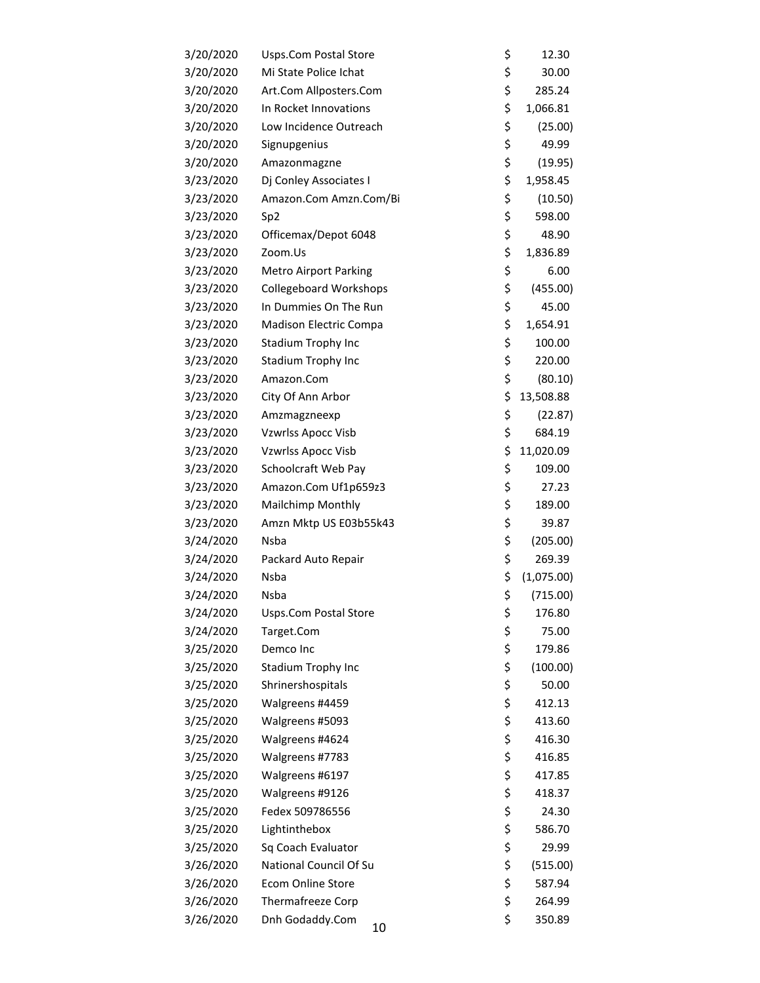| 3/20/2020 | <b>Usps.Com Postal Store</b>  | \$<br>12.30      |
|-----------|-------------------------------|------------------|
| 3/20/2020 | Mi State Police Ichat         | \$<br>30.00      |
| 3/20/2020 | Art.Com Allposters.Com        | \$<br>285.24     |
| 3/20/2020 | In Rocket Innovations         | \$<br>1,066.81   |
| 3/20/2020 | Low Incidence Outreach        | \$<br>(25.00)    |
| 3/20/2020 | Signupgenius                  | \$<br>49.99      |
| 3/20/2020 | Amazonmagzne                  | \$<br>(19.95)    |
| 3/23/2020 | Dj Conley Associates I        | \$<br>1,958.45   |
| 3/23/2020 | Amazon.Com Amzn.Com/Bi        | \$<br>(10.50)    |
| 3/23/2020 | Sp <sub>2</sub>               | \$<br>598.00     |
| 3/23/2020 | Officemax/Depot 6048          | \$<br>48.90      |
| 3/23/2020 | Zoom.Us                       | \$<br>1,836.89   |
| 3/23/2020 | <b>Metro Airport Parking</b>  | \$<br>6.00       |
| 3/23/2020 | <b>Collegeboard Workshops</b> | \$<br>(455.00)   |
| 3/23/2020 | In Dummies On The Run         | \$<br>45.00      |
| 3/23/2020 | Madison Electric Compa        | \$<br>1,654.91   |
| 3/23/2020 | Stadium Trophy Inc            | \$<br>100.00     |
| 3/23/2020 | Stadium Trophy Inc            | \$<br>220.00     |
| 3/23/2020 | Amazon.Com                    | \$<br>(80.10)    |
| 3/23/2020 | City Of Ann Arbor             | \$<br>13,508.88  |
| 3/23/2020 | Amzmagzneexp                  | \$<br>(22.87)    |
| 3/23/2020 | <b>Vzwrlss Apocc Visb</b>     | \$<br>684.19     |
| 3/23/2020 | <b>Vzwrlss Apocc Visb</b>     | \$<br>11,020.09  |
| 3/23/2020 | Schoolcraft Web Pay           | \$<br>109.00     |
| 3/23/2020 | Amazon.Com Uf1p659z3          | \$<br>27.23      |
| 3/23/2020 | Mailchimp Monthly             | \$<br>189.00     |
| 3/23/2020 | Amzn Mktp US E03b55k43        | \$<br>39.87      |
| 3/24/2020 | Nsba                          | \$<br>(205.00)   |
| 3/24/2020 | Packard Auto Repair           | \$<br>269.39     |
| 3/24/2020 | <b>Nsba</b>                   | \$<br>(1,075.00) |
| 3/24/2020 | Nsba                          | \$<br>(715.00)   |
| 3/24/2020 | Usps.Com Postal Store         | \$<br>176.80     |
| 3/24/2020 | Target.Com                    | \$<br>75.00      |
| 3/25/2020 | Demco Inc                     | \$<br>179.86     |
| 3/25/2020 | Stadium Trophy Inc            | \$<br>(100.00)   |
| 3/25/2020 | Shrinershospitals             | \$<br>50.00      |
| 3/25/2020 | Walgreens #4459               | \$<br>412.13     |
| 3/25/2020 | Walgreens #5093               | \$<br>413.60     |
| 3/25/2020 | Walgreens #4624               | \$<br>416.30     |
| 3/25/2020 | Walgreens #7783               | \$<br>416.85     |
| 3/25/2020 | Walgreens #6197               | \$<br>417.85     |
| 3/25/2020 | Walgreens #9126               | \$<br>418.37     |
| 3/25/2020 | Fedex 509786556               | \$<br>24.30      |
| 3/25/2020 | Lightinthebox                 | \$<br>586.70     |
| 3/25/2020 | Sq Coach Evaluator            | \$<br>29.99      |
| 3/26/2020 | National Council Of Su        | \$<br>(515.00)   |
| 3/26/2020 | Ecom Online Store             | \$<br>587.94     |
| 3/26/2020 | Thermafreeze Corp             | \$<br>264.99     |
| 3/26/2020 | Dnh Godaddy.Com<br>10         | \$<br>350.89     |